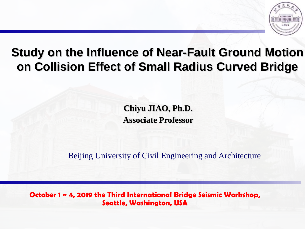

### **Study on the Influence of Near-Fault Ground Motion on Collision Effect of Small Radius Curved Bridge**

**Chiyu JIAO, Ph.D. Associate Professor**

Beijing University of Civil Engineering and Architecture

**October 1 ~ 4, 2019 the Third International Bridge Seismic Workshop, Seattle, Washington, USA**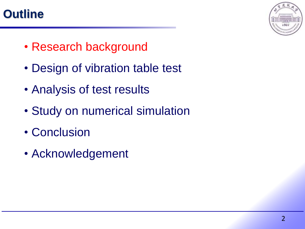### **Outline**



- Research background
- Design of vibration table test
- Analysis of test results
- Study on numerical simulation
- Conclusion
- Acknowledgement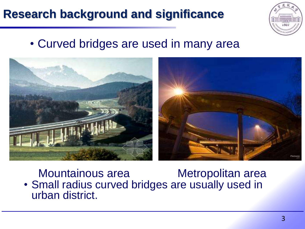

• Curved bridges are used in many area



Mountainous area **Metropolitan area** • Small radius curved bridges are usually used in urban district.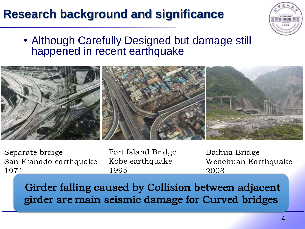

### • Although Carefully Designed but damage still happened in recent earthquake



Separate brdige San Franado earthquake 1971

Port Island Bridge Kobe earthquake 1995

Baihua Bridge Wenchuan Earthquake 2008

Girder falling caused by Collision between adjacent girder are main seismic damage for Curved bridges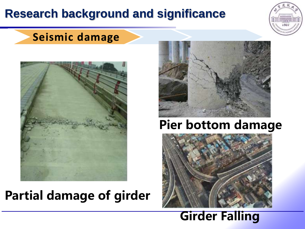

#### **Seismic damage**



## **Partial damage of girder**



## **Pier bottom damage**



### **Girder Falling**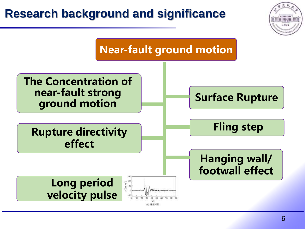## **Research background and significance Near-fault ground motion The Concentration of near-fault strong Surface Rupture ground motion Fling stepRupture directivity effect Hanging wall/ footwall effect Long period**  $\frac{1}{2}$ **velocity pulse**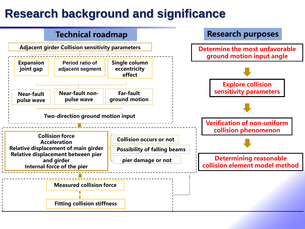